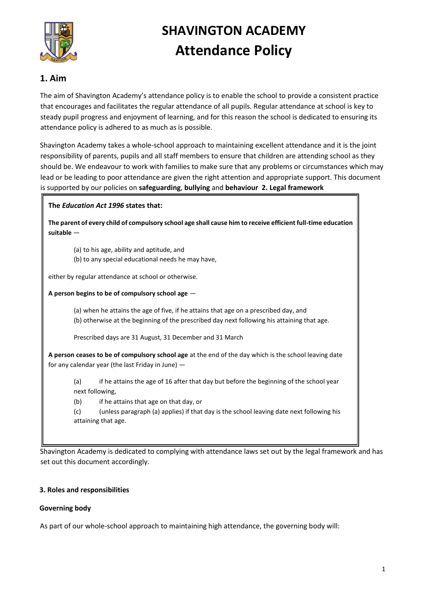

# **SHAVINGTON ACADEMY Attendance Policy**

## **1. Aim**

The aim of Shavington Academy's attendance policy is to enable the school to provide a consistent practice that encourages and facilitates the regular attendance of all pupils. Regular attendance at school is key to steady pupil progress and enjoyment of learning, and for this reason the school is dedicated to ensuring its attendance policy is adhered to as much as is possible.

Shavington Academy takes a whole-school approach to maintaining excellent attendance and it is the joint responsibility of parents, pupils and all staff members to ensure that children are attending school as they should be. We endeavour to work with families to make sure that any problems or circumstances which may lead or be leading to poor attendance are given the right attention and appropriate support. This document is supported by our policies on **safeguarding**, **bullying** and **behaviour 2. Legal framework**

#### **The** *Education Act 1996* **states that:**

**The parent of every child of compulsory school age shall cause him to receive efficient full-time education suitable** —

- (a) to his age, ability and aptitude, and
- (b) to any special educational needs he may have,

either by regular attendance at school or otherwise.

**A person begins to be of compulsory school age** —

(a) when he attains the age of five, if he attains that age on a prescribed day, and (b) otherwise at the beginning of the prescribed day next following his attaining that age.

Prescribed days are 31 August, 31 December and 31 March

**A person ceases to be of compulsory school age** at the end of the day which is the school leaving date for any calendar year (the last Friday in June) —

(a) if he attains the age of 16 after that day but before the beginning of the school year next following,

(b) if he attains that age on that day, or

(c) (unless paragraph (a) applies) if that day is the school leaving date next following his attaining that age.

Shavington Academy is dedicated to complying with attendance laws set out by the legal framework and has set out this document accordingly.

#### **3. Roles and responsibilities**

#### **Governing body**

As part of our whole-school approach to maintaining high attendance, the governing body will: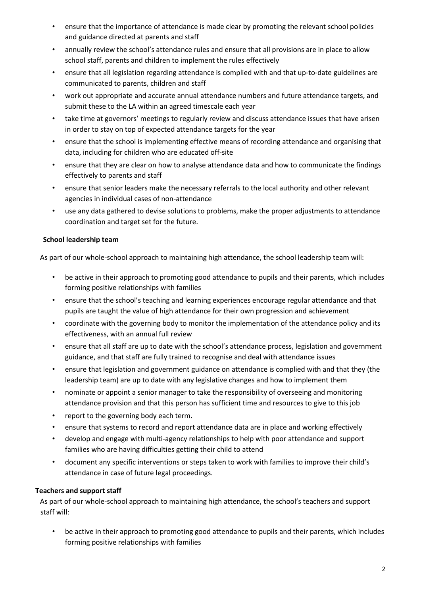- ensure that the importance of attendance is made clear by promoting the relevant school policies and guidance directed at parents and staff
- annually review the school's attendance rules and ensure that all provisions are in place to allow school staff, parents and children to implement the rules effectively
- ensure that all legislation regarding attendance is complied with and that up-to-date guidelines are communicated to parents, children and staff
- work out appropriate and accurate annual attendance numbers and future attendance targets, and submit these to the LA within an agreed timescale each year
- take time at governors' meetings to regularly review and discuss attendance issues that have arisen in order to stay on top of expected attendance targets for the year
- ensure that the school is implementing effective means of recording attendance and organising that data, including for children who are educated off-site
- ensure that they are clear on how to analyse attendance data and how to communicate the findings effectively to parents and staff
- ensure that senior leaders make the necessary referrals to the local authority and other relevant agencies in individual cases of non-attendance
- use any data gathered to devise solutions to problems, make the proper adjustments to attendance coordination and target set for the future.

## **School leadership team**

As part of our whole-school approach to maintaining high attendance, the school leadership team will:

- be active in their approach to promoting good attendance to pupils and their parents, which includes forming positive relationships with families
- ensure that the school's teaching and learning experiences encourage regular attendance and that pupils are taught the value of high attendance for their own progression and achievement
- coordinate with the governing body to monitor the implementation of the attendance policy and its effectiveness, with an annual full review
- ensure that all staff are up to date with the school's attendance process, legislation and government guidance, and that staff are fully trained to recognise and deal with attendance issues
- ensure that legislation and government guidance on attendance is complied with and that they (the leadership team) are up to date with any legislative changes and how to implement them
- nominate or appoint a senior manager to take the responsibility of overseeing and monitoring attendance provision and that this person has sufficient time and resources to give to this job
- report to the governing body each term.
- ensure that systems to record and report attendance data are in place and working effectively
- develop and engage with multi-agency relationships to help with poor attendance and support families who are having difficulties getting their child to attend
- document any specific interventions or steps taken to work with families to improve their child's attendance in case of future legal proceedings.

## **Teachers and support staff**

As part of our whole-school approach to maintaining high attendance, the school's teachers and support staff will:

• be active in their approach to promoting good attendance to pupils and their parents, which includes forming positive relationships with families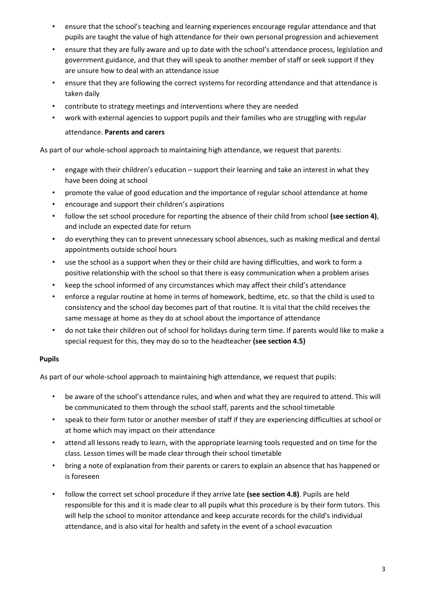- ensure that the school's teaching and learning experiences encourage regular attendance and that pupils are taught the value of high attendance for their own personal progression and achievement
- ensure that they are fully aware and up to date with the school's attendance process, legislation and government guidance, and that they will speak to another member of staff or seek support if they are unsure how to deal with an attendance issue
- ensure that they are following the correct systems for recording attendance and that attendance is taken daily
- contribute to strategy meetings and interventions where they are needed
- work with external agencies to support pupils and their families who are struggling with regular attendance. **Parents and carers**

As part of our whole-school approach to maintaining high attendance, we request that parents:

- engage with their children's education support their learning and take an interest in what they have been doing at school
- promote the value of good education and the importance of regular school attendance at home
- encourage and support their children's aspirations
- follow the set school procedure for reporting the absence of their child from school **(see section 4)**, and include an expected date for return
- do everything they can to prevent unnecessary school absences, such as making medical and dental appointments outside school hours
- use the school as a support when they or their child are having difficulties, and work to form a positive relationship with the school so that there is easy communication when a problem arises
- keep the school informed of any circumstances which may affect their child's attendance
- enforce a regular routine at home in terms of homework, bedtime, etc. so that the child is used to consistency and the school day becomes part of that routine. It is vital that the child receives the same message at home as they do at school about the importance of attendance
- do not take their children out of school for holidays during term time. If parents would like to make a special request for this, they may do so to the headteacher **(see section 4.5)**

## **Pupils**

As part of our whole-school approach to maintaining high attendance, we request that pupils:

- be aware of the school's attendance rules, and when and what they are required to attend. This will be communicated to them through the school staff, parents and the school timetable
- speak to their form tutor or another member of staff if they are experiencing difficulties at school or at home which may impact on their attendance
- attend all lessons ready to learn, with the appropriate learning tools requested and on time for the class. Lesson times will be made clear through their school timetable
- bring a note of explanation from their parents or carers to explain an absence that has happened or is foreseen
- follow the correct set school procedure if they arrive late **(see section 4.8)**. Pupils are held responsible for this and it is made clear to all pupils what this procedure is by their form tutors. This will help the school to monitor attendance and keep accurate records for the child's individual attendance, and is also vital for health and safety in the event of a school evacuation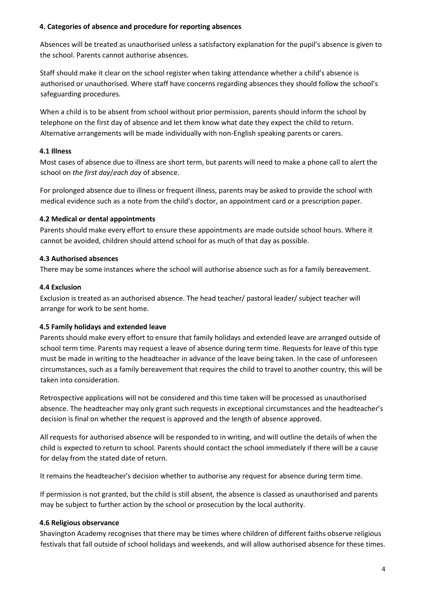#### **4. Categories of absence and procedure for reporting absences**

Absences will be treated as unauthorised unless a satisfactory explanation for the pupil's absence is given to the school. Parents cannot authorise absences.

Staff should make it clear on the school register when taking attendance whether a child's absence is authorised or unauthorised. Where staff have concerns regarding absences they should follow the school's safeguarding procedures.

When a child is to be absent from school without prior permission, parents should inform the school by telephone on the first day of absence and let them know what date they expect the child to return. Alternative arrangements will be made individually with non-English speaking parents or carers.

#### **4.1 Illness**

Most cases of absence due to illness are short term, but parents will need to make a phone call to alert the school on *the first day*/*each day* of absence.

For prolonged absence due to illness or frequent illness, parents may be asked to provide the school with medical evidence such as a note from the child's doctor, an appointment card or a prescription paper.

#### **4.2 Medical or dental appointments**

Parents should make every effort to ensure these appointments are made outside school hours. Where it cannot be avoided, children should attend school for as much of that day as possible.

#### **4.3 Authorised absences**

There may be some instances where the school will authorise absence such as for a family bereavement.

#### **4.4 Exclusion**

Exclusion is treated as an authorised absence. The head teacher/ pastoral leader/ subject teacher will arrange for work to be sent home.

#### **4.5 Family holidays and extended leave**

Parents should make every effort to ensure that family holidays and extended leave are arranged outside of school term time. Parents may request a leave of absence during term time. Requests for leave of this type must be made in writing to the headteacher in advance of the leave being taken. In the case of unforeseen circumstances, such as a family bereavement that requires the child to travel to another country, this will be taken into consideration.

Retrospective applications will not be considered and this time taken will be processed as unauthorised absence. The headteacher may only grant such requests in exceptional circumstances and the headteacher's decision is final on whether the request is approved and the length of absence approved.

All requests for authorised absence will be responded to in writing, and will outline the details of when the child is expected to return to school. Parents should contact the school immediately if there will be a cause for delay from the stated date of return.

It remains the headteacher's decision whether to authorise any request for absence during term time.

If permission is not granted, but the child is still absent, the absence is classed as unauthorised and parents may be subject to further action by the school or prosecution by the local authority.

#### **4.6 Religious observance**

Shavington Academy recognises that there may be times where children of different faiths observe religious festivals that fall outside of school holidays and weekends, and will allow authorised absence for these times.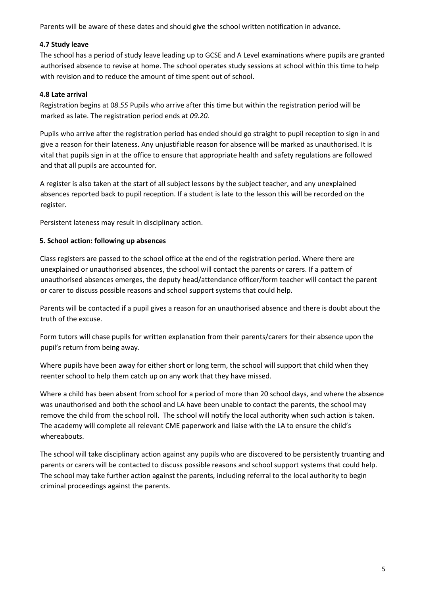Parents will be aware of these dates and should give the school written notification in advance.

#### **4.7 Study leave**

The school has a period of study leave leading up to GCSE and A Level examinations where pupils are granted authorised absence to revise at home. The school operates study sessions at school within this time to help with revision and to reduce the amount of time spent out of school.

#### **4.8 Late arrival**

Registration begins at 0*8.55* Pupils who arrive after this time but within the registration period will be marked as late. The registration period ends at *09.20.*

Pupils who arrive after the registration period has ended should go straight to pupil reception to sign in and give a reason for their lateness. Any unjustifiable reason for absence will be marked as unauthorised. It is vital that pupils sign in at the office to ensure that appropriate health and safety regulations are followed and that all pupils are accounted for.

A register is also taken at the start of all subject lessons by the subject teacher, and any unexplained absences reported back to pupil reception. If a student is late to the lesson this will be recorded on the register.

Persistent lateness may result in disciplinary action.

#### **5. School action: following up absences**

Class registers are passed to the school office at the end of the registration period. Where there are unexplained or unauthorised absences, the school will contact the parents or carers. If a pattern of unauthorised absences emerges, the deputy head/attendance officer/form teacher will contact the parent or carer to discuss possible reasons and school support systems that could help.

Parents will be contacted if a pupil gives a reason for an unauthorised absence and there is doubt about the truth of the excuse.

Form tutors will chase pupils for written explanation from their parents/carers for their absence upon the pupil's return from being away.

Where pupils have been away for either short or long term, the school will support that child when they reenter school to help them catch up on any work that they have missed.

Where a child has been absent from school for a period of more than 20 school days, and where the absence was unauthorised and both the school and LA have been unable to contact the parents, the school may remove the child from the school roll. The school will notify the local authority when such action is taken. The academy will complete all relevant CME paperwork and liaise with the LA to ensure the child's whereabouts.

The school will take disciplinary action against any pupils who are discovered to be persistently truanting and parents or carers will be contacted to discuss possible reasons and school support systems that could help. The school may take further action against the parents, including referral to the local authority to begin criminal proceedings against the parents.